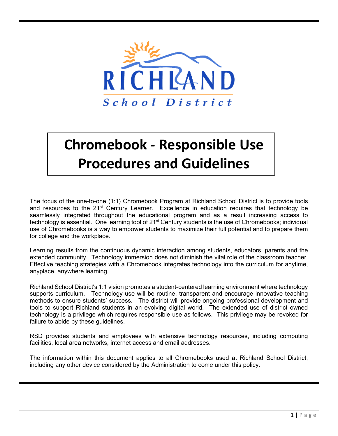

# **Chromebook - Responsible Use Procedures and Guidelines**

The focus of the one-to-one (1:1) Chromebook Program at Richland School District is to provide tools and resources to the  $21^{st}$  Century Learner. Excellence in education requires that technology be seamlessly integrated throughout the educational program and as a result increasing access to technology is essential. One learning tool of 21<sup>st</sup> Century students is the use of Chromebooks; individual use of Chromebooks is a way to empower students to maximize their full potential and to prepare them for college and the workplace.

Learning results from the continuous dynamic interaction among students, educators, parents and the extended community. Technology immersion does not diminish the vital role of the classroom teacher. Effective teaching strategies with a Chromebook integrates technology into the curriculum for anytime, anyplace, anywhere learning.

Richland School District's 1:1 vision promotes a student-centered learning environment where technology supports curriculum. Technology use will be routine, transparent and encourage innovative teaching methods to ensure students' success. The district will provide ongoing professional development and tools to support Richland students in an evolving digital world. The extended use of district owned technology is a privilege which requires responsible use as follows. This privilege may be revoked for failure to abide by these guidelines.

RSD provides students and employees with extensive technology resources, including computing facilities, local area networks, internet access and email addresses.

The information within this document applies to all Chromebooks used at Richland School District, including any other device considered by the Administration to come under this policy.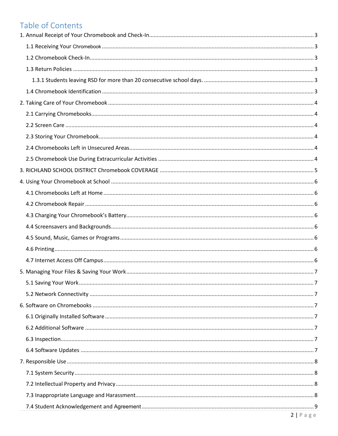# Table of Contents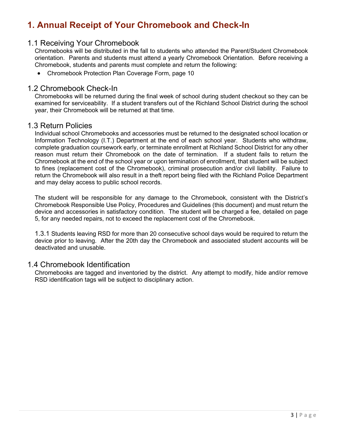# <span id="page-2-0"></span>**1. Annual Receipt of Your Chromebook and Check-In**

### <span id="page-2-1"></span>1.1 Receiving Your Chromebook

Chromebooks will be distributed in the fall to students who attended the Parent/Student Chromebook orientation. Parents and students must attend a yearly Chromebook Orientation. Before receiving a Chromebook, students and parents must complete and return the following:

• Chromebook Protection Plan Coverage Form, page 10

#### <span id="page-2-2"></span>1.2 Chromebook Check-In

Chromebooks will be returned during the final week of school during student checkout so they can be examined for serviceability. If a student transfers out of the Richland School District during the school year, their Chromebook will be returned at that time.

#### <span id="page-2-3"></span>1.3 Return Policies

Individual school Chromebooks and accessories must be returned to the designated school location or Information Technology (I.T.) Department at the end of each school year. Students who withdraw, complete graduation coursework early, or terminate enrollment at Richland School District for any other reason must return their Chromebook on the date of termination. If a student fails to return the Chromebook at the end of the school year or upon termination of enrollment, that student will be subject to fines (replacement cost of the Chromebook), criminal prosecution and/or civil liability. Failure to return the Chromebook will also result in a theft report being filed with the Richland Police Department and may delay access to public school records.

The student will be responsible for any damage to the Chromebook, consistent with the District's Chromebook Responsible Use Policy, Procedures and Guidelines (this document) and must return the device and accessories in satisfactory condition. The student will be charged a fee, detailed on page 5, for any needed repairs, not to exceed the replacement cost of the Chromebook.

<span id="page-2-4"></span>1.3.1 Students leaving RSD for more than 20 consecutive school days would be required to return the device prior to leaving. After the 20th day the Chromebook and associated student accounts will be deactivated and unusable.

#### <span id="page-2-5"></span>1.4 Chromebook Identification

Chromebooks are tagged and inventoried by the district. Any attempt to modify, hide and/or remove RSD identification tags will be subject to disciplinary action.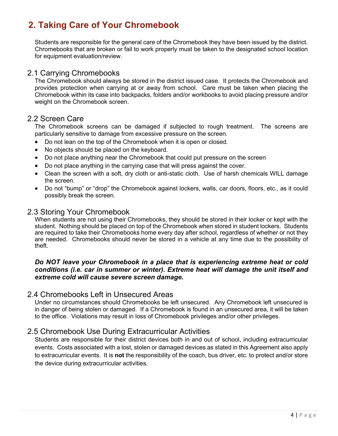# <span id="page-3-0"></span>**2. Taking Care of Your Chromebook**

Students are responsible for the general care of the Chromebook they have been issued by the district. Chromebooks that are broken or fail to work properly must be taken to the designated school location for equipment evaluation/review.

#### <span id="page-3-1"></span>2.1 Carrying Chromebooks

The Chromebook should always be stored in the district issued case. It protects the Chromebook and provides protection when carrying at or away from school. Care must be taken when placing the Chromebook within its case into backpacks, folders and/or workbooks to avoid placing pressure and/or weight on the Chromebook screen.

### <span id="page-3-2"></span>2.2 Screen Care

The Chromebook screens can be damaged if subjected to rough treatment. The screens are particularly sensitive to damage from excessive pressure on the screen.

- Do not lean on the top of the Chromebook when it is open or closed.
- No objects should be placed on the keyboard.
- Do not place anything near the Chromebook that could put pressure on the screen
- Do not place anything in the carrying case that will press against the cover.
- Clean the screen with a soft, dry cloth or anti-static cloth. Use of harsh chemicals WILL damage the screen.
- Do not "bump" or "drop" the Chromebook against lockers, walls, car doors, floors, etc., as it could possibly break the screen.

#### <span id="page-3-3"></span>2.3 Storing Your Chromebook

When students are not using their Chromebooks, they should be stored in their locker or kept with the student. Nothing should be placed on top of the Chromebook when stored in student lockers. Students are required to take their Chromebooks home every day after school, regardless of whether or not they are needed. Chromebooks should never be stored in a vehicle at any time due to the possibility of theft.

#### *Do NOT leave your Chromebook in a place that is experiencing extreme heat or cold conditions (i.e. car in summer or winter). Extreme heat will damage the unit itself and extreme cold will cause severe screen damage.*

### <span id="page-3-4"></span>2.4 Chromebooks Left in Unsecured Areas

Under no circumstances should Chromebooks be left unsecured. Any Chromebook left unsecured is in danger of being stolen or damaged. If a Chromebook is found in an unsecured area, it will be taken to the office. Violations may result in loss of Chromebook privileges and/or other privileges.

# <span id="page-3-5"></span>2.5 Chromebook Use During Extracurricular Activities

Students are responsible for their district devices both in and out of school, including extracurricular events. Costs associated with a lost, stolen or damaged devices as stated in this Agreement also apply to extracurricular events. It is **not** the responsibility of the coach, bus driver, etc. to protect and/or store the device during extracurricular activities.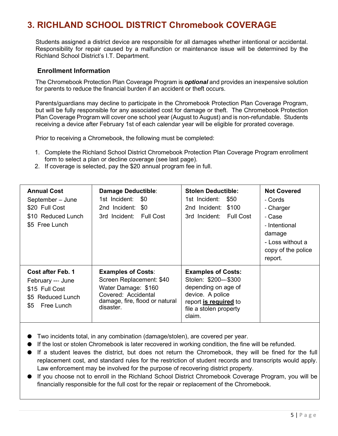# <span id="page-4-0"></span>**3. RICHLAND SCHOOL DISTRICT Chromebook COVERAGE**

Students assigned a district device are responsible for all damages whether intentional or accidental. Responsibility for repair caused by a malfunction or maintenance issue will be determined by the Richland School District's I.T. Department.

#### **Enrollment Information**

The Chromebook Protection Plan Coverage Program is *optional* and provides an inexpensive solution for parents to reduce the financial burden if an accident or theft occurs.

Parents/guardians may decline to participate in the Chromebook Protection Plan Coverage Program, but will be fully responsible for any associated cost for damage or theft. The Chromebook Protection Plan Coverage Program will cover one school year (August to August) and is non-refundable. Students receiving a device after February 1st of each calendar year will be eligible for prorated coverage.

Prior to receiving a Chromebook, the following must be completed:

- 1. Complete the Richland School District Chromebook Protection Plan Coverage Program enrollment form to select a plan or decline coverage (see last page).
- 2. If coverage is selected, pay the \$20 annual program fee in full.

| <b>Annual Cost</b><br>September - June<br>\$20 Full Cost<br>\$10 Reduced Lunch<br>\$5 Free Lunch   | <b>Damage Deductible:</b><br>1st Incident: \$0<br>2nd Incident: \$0<br>3rd Incident: Full Cost                                                     | <b>Stolen Deductible:</b><br>1st Incident:<br>\$50<br>2nd Incident: \$100<br>3rd Incident: Full Cost                                                       | <b>Not Covered</b><br>- Cords<br>- Charger<br>- Case<br>- Intentional<br>damage<br>- Loss without a<br>copy of the police<br>report. |
|----------------------------------------------------------------------------------------------------|----------------------------------------------------------------------------------------------------------------------------------------------------|------------------------------------------------------------------------------------------------------------------------------------------------------------|--------------------------------------------------------------------------------------------------------------------------------------|
| Cost after Feb. 1<br>February --- June<br>\$15 Full Cost<br>\$5 Reduced Lunch<br>\$5<br>Free Lunch | <b>Examples of Costs:</b><br>Screen Replacement: \$40<br>Water Damage: \$160<br>Covered: Accidental<br>damage, fire, flood or natural<br>disaster. | <b>Examples of Costs:</b><br>Stolen: \$200---\$300<br>depending on age of<br>device. A police<br>report is required to<br>file a stolen property<br>claim. |                                                                                                                                      |

● Two incidents total, in any combination (damage/stolen), are covered per year.

- If the lost or stolen Chromebook is later recovered in working condition, the fine will be refunded.
- If a student leaves the district, but does not return the Chromebook, they will be fined for the full replacement cost, and standard rules for the restriction of student records and transcripts would apply. Law enforcement may be involved for the purpose of recovering district property.
- If you choose not to enroll in the Richland School District Chromebook Coverage Program, you will be financially responsible for the full cost for the repair or replacement of the Chromebook.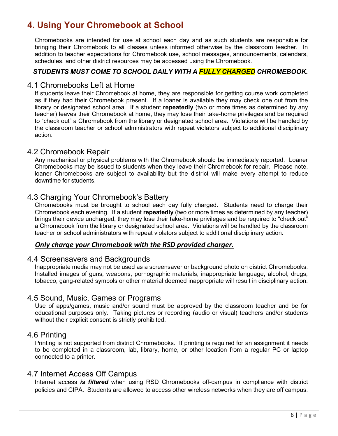# <span id="page-5-0"></span>**4. Using Your Chromebook at School**

Chromebooks are intended for use at school each day and as such students are responsible for bringing their Chromebook to all classes unless informed otherwise by the classroom teacher. In addition to teacher expectations for Chromebook use, school messages, announcements, calendars, schedules, and other district resources may be accessed using the Chromebook.

#### *STUDENTS MUST COME TO SCHOOL DAILY WITH A FULLY CHARGED CHROMEBOOK.*

#### <span id="page-5-1"></span>4.1 Chromebooks Left at Home

If students leave their Chromebook at home, they are responsible for getting course work completed as if they had their Chromebook present. If a loaner is available they may check one out from the library or designated school area. If a student **repeatedly** (two or more times as determined by any teacher) leaves their Chromebook at home, they may lose their take-home privileges and be required to "check out" a Chromebook from the library or designated school area. Violations will be handled by the classroom teacher or school administrators with repeat violators subject to additional disciplinary action.

#### <span id="page-5-2"></span>4.2 Chromebook Repair

Any mechanical or physical problems with the Chromebook should be immediately reported. Loaner Chromebooks may be issued to students when they leave their Chromebook for repair. Please note, loaner Chromebooks are subject to availability but the district will make every attempt to reduce downtime for students.

### <span id="page-5-3"></span>4.3 Charging Your Chromebook's Battery

Chromebooks must be brought to school each day fully charged. Students need to charge their Chromebook each evening. If a student **repeatedly** (two or more times as determined by any teacher) brings their device uncharged, they may lose their take-home privileges and be required to "check out" a Chromebook from the library or designated school area. Violations will be handled by the classroom teacher or school administrators with repeat violators subject to additional disciplinary action.

#### *Only charge your Chromebook with the RSD provided charger.*

### 4.4 Screensavers and Backgrounds

<span id="page-5-4"></span>Inappropriate media may not be used as a screensaver or background photo on district Chromebooks. Installed images of guns, weapons, pornographic materials, inappropriate language, alcohol, drugs, tobacco, gang-related symbols or other material deemed inappropriate will result in disciplinary action.

### <span id="page-5-5"></span>4.5 Sound, Music, Games or Programs

Use of apps/games, music and/or sound must be approved by the classroom teacher and be for educational purposes only. Taking pictures or recording (audio or visual) teachers and/or students without their explicit consent is strictly prohibited.

#### <span id="page-5-6"></span>4.6 Printing

Printing is not supported from district Chromebooks. If printing is required for an assignment it needs to be completed in a classroom, lab, library, home, or other location from a regular PC or laptop connected to a printer.

### <span id="page-5-7"></span>4.7 Internet Access Off Campus

Internet access *is filtered* when using RSD Chromebooks off-campus in compliance with district policies and CIPA. Students are allowed to access other wireless networks when they are off campus.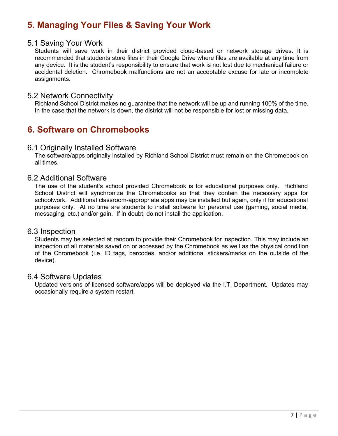# <span id="page-6-0"></span>**5. Managing Your Files & Saving Your Work**

### <span id="page-6-1"></span>5.1 Saving Your Work

Students will save work in their district provided cloud-based or network storage drives. It is recommended that students store files in their Google Drive where files are available at any time from any device. It is the student's responsibility to ensure that work is not lost due to mechanical failure or accidental deletion. Chromebook malfunctions are not an acceptable excuse for late or incomplete assignments.

### <span id="page-6-2"></span>5.2 Network Connectivity

Richland School District makes no guarantee that the network will be up and running 100% of the time. In the case that the network is down, the district will not be responsible for lost or missing data.

# <span id="page-6-3"></span>**6. Software on Chromebooks**

#### <span id="page-6-4"></span>6.1 Originally Installed Software

The software/apps originally installed by Richland School District must remain on the Chromebook on all times.

#### <span id="page-6-5"></span>6.2 Additional Software

The use of the student's school provided Chromebook is for educational purposes only. Richland School District will synchronize the Chromebooks so that they contain the necessary apps for schoolwork. Additional classroom-appropriate apps may be installed but again, only if for educational purposes only. At no time are students to install software for personal use (gaming, social media, messaging, etc.) and/or gain. If in doubt, do not install the application.

#### <span id="page-6-6"></span>6.3 Inspection

Students may be selected at random to provide their Chromebook for inspection. This may include an inspection of all materials saved on or accessed by the Chromebook as well as the physical condition of the Chromebook (i.e. ID tags, barcodes, and/or additional stickers/marks on the outside of the device).

### <span id="page-6-7"></span>6.4 Software Updates

Updated versions of licensed software/apps will be deployed via the I.T. Department. Updates may occasionally require a system restart.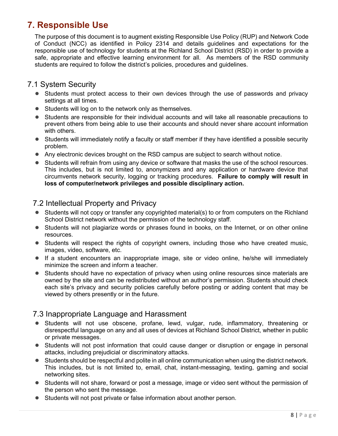# <span id="page-7-0"></span>**7. Responsible Use**

The purpose of this document is to augment existing Responsible Use Policy (RUP) and Network Code of Conduct (NCC) as identified in Policy 2314 and details guidelines and expectations for the responsible use of technology for students at the Richland School District (RSD) in order to provide a safe, appropriate and effective learning environment for all. As members of the RSD community students are required to follow the district's policies, procedures and guidelines.

# <span id="page-7-1"></span>7.1 System Security

- Students must protect access to their own devices through the use of passwords and privacy settings at all times.
- Students will log on to the network only as themselves.
- Students are responsible for their individual accounts and will take all reasonable precautions to prevent others from being able to use their accounts and should never share account information with others.
- Students will immediately notify a faculty or staff member if they have identified a possible security problem.
- Any electronic devices brought on the RSD campus are subject to search without notice.
- Students will refrain from using any device or software that masks the use of the school resources. This includes, but is not limited to, anonymizers and any application or hardware device that circumvents network security, logging or tracking procedures. **Failure to comply will result in loss of computer/network privileges and possible disciplinary action.**

# <span id="page-7-2"></span>7.2 Intellectual Property and Privacy

- Students will not copy or transfer any copyrighted material(s) to or from computers on the Richland School District network without the permission of the technology staff.
- Students will not plagiarize words or phrases found in books, on the Internet, or on other online resources.
- Students will respect the rights of copyright owners, including those who have created music, images, video, software, etc.
- If a student encounters an inappropriate image, site or video online, he/she will immediately minimize the screen and inform a teacher.
- Students should have no expectation of privacy when using online resources since materials are owned by the site and can be redistributed without an author's permission. Students should check each site's privacy and security policies carefully before posting or adding content that may be viewed by others presently or in the future.

# <span id="page-7-3"></span>7.3 Inappropriate Language and Harassment

- Students will not use obscene, profane, lewd, vulgar, rude, inflammatory, threatening or disrespectful language on any and all uses of devices at Richland School District, whether in public or private messages.
- Students will not post information that could cause danger or disruption or engage in personal attacks, including prejudicial or discriminatory attacks.
- Students should be respectful and polite in all online communication when using the district network. This includes, but is not limited to, email, chat, instant-messaging, texting, gaming and social networking sites.
- Students will not share, forward or post a message, image or video sent without the permission of the person who sent the message.
- <span id="page-7-4"></span>● Students will not post private or false information about another person.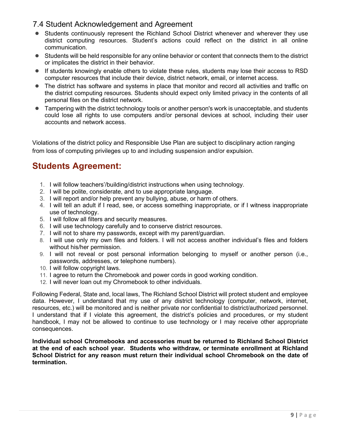# 7.4 Student Acknowledgement and Agreement

- Students continuously represent the Richland School District whenever and wherever they use district computing resources. Student's actions could reflect on the district in all online communication.
- Students will be held responsible for any online behavior or content that connects them to the district or implicates the district in their behavior.
- If students knowingly enable others to violate these rules, students may lose their access to RSD computer resources that include their device, district network, email, or internet access.
- The district has software and systems in place that monitor and record all activities and traffic on the district computing resources. Students should expect only limited privacy in the contents of all personal files on the district network.
- Tampering with the district technology tools or another person's work is unacceptable, and students could lose all rights to use computers and/or personal devices at school, including their user accounts and network access.

Violations of the district policy and Responsible Use Plan are subject to disciplinary action ranging from loss of computing privileges up to and including suspension and/or expulsion.

# **Students Agreement:**

- 1. I will follow teachers'/building/district instructions when using technology.
- 2. I will be polite, considerate, and to use appropriate language.
- 3. I will report and/or help prevent any bullying, abuse, or harm of others.
- 4. I will tell an adult if I read, see, or access something inappropriate, or if I witness inappropriate use of technology.
- 5. I will follow all filters and security measures.
- 6. I will use technology carefully and to conserve district resources.
- 7. I will not to share my passwords, except with my parent/guardian.
- 8. I will use only my own files and folders. I will not access another individual's files and folders without his/her permission.
- 9. I will not reveal or post personal information belonging to myself or another person (i.e., passwords, addresses, or telephone numbers).
- 10. I will follow copyright laws.
- 11. I agree to return the Chromebook and power cords in good working condition.
- 12. I will never loan out my Chromebook to other individuals.

Following Federal, State and, local laws, The Richland School District will protect student and employee data. However, I understand that my use of any district technology (computer, network, internet, resources, etc.) will be monitored and is neither private nor confidential to district/authorized personnel. I understand that if I violate this agreement, the district's policies and procedures, or my student handbook, I may not be allowed to continue to use technology or I may receive other appropriate consequences.

**Individual school Chromebooks and accessories must be returned to Richland School District at the end of each school year. Students who withdraw, or terminate enrollment at Richland School District for any reason must return their individual school Chromebook on the date of termination.**